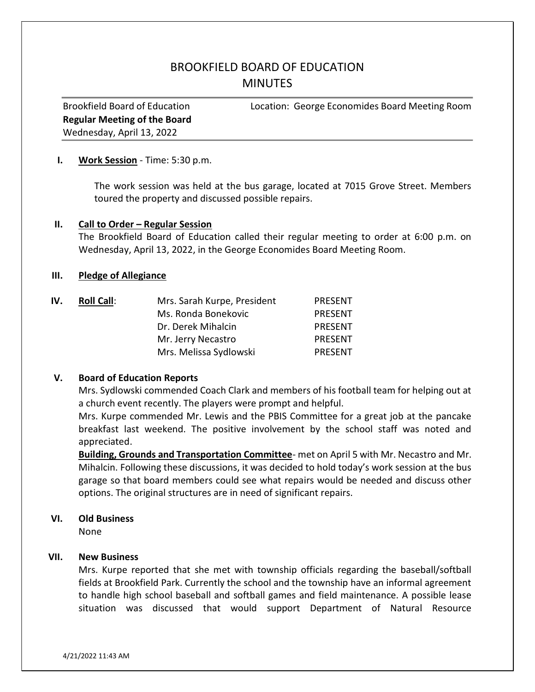# BROOKFIELD BOARD OF EDUCATION **MINUTES**

Regular Meeting of the Board Wednesday, April 13, 2022

Brookfield Board of Education Location: George Economides Board Meeting Room

#### I. Work Session - Time: 5:30 p.m.

The work session was held at the bus garage, located at 7015 Grove Street. Members toured the property and discussed possible repairs.

#### II. Call to Order – Regular Session

The Brookfield Board of Education called their regular meeting to order at 6:00 p.m. on Wednesday, April 13, 2022, in the George Economides Board Meeting Room.

# III. Pledge of Allegiance

| IV. | <b>Roll Call:</b> | Mrs. Sarah Kurpe, President | PRESENT        |
|-----|-------------------|-----------------------------|----------------|
|     |                   | Ms. Ronda Bonekovic         | <b>PRESENT</b> |
|     |                   | Dr. Derek Mihalcin          | <b>PRESENT</b> |
|     |                   | Mr. Jerry Necastro          | <b>PRESENT</b> |
|     |                   | Mrs. Melissa Sydlowski      | PRESENT        |

#### V. Board of Education Reports

Mrs. Sydlowski commended Coach Clark and members of his football team for helping out at a church event recently. The players were prompt and helpful.

Mrs. Kurpe commended Mr. Lewis and the PBIS Committee for a great job at the pancake breakfast last weekend. The positive involvement by the school staff was noted and appreciated.

Building, Grounds and Transportation Committee- met on April 5 with Mr. Necastro and Mr. Mihalcin. Following these discussions, it was decided to hold today's work session at the bus garage so that board members could see what repairs would be needed and discuss other options. The original structures are in need of significant repairs.

#### VI. Old Business

None

# VII. New Business

Mrs. Kurpe reported that she met with township officials regarding the baseball/softball fields at Brookfield Park. Currently the school and the township have an informal agreement to handle high school baseball and softball games and field maintenance. A possible lease situation was discussed that would support Department of Natural Resource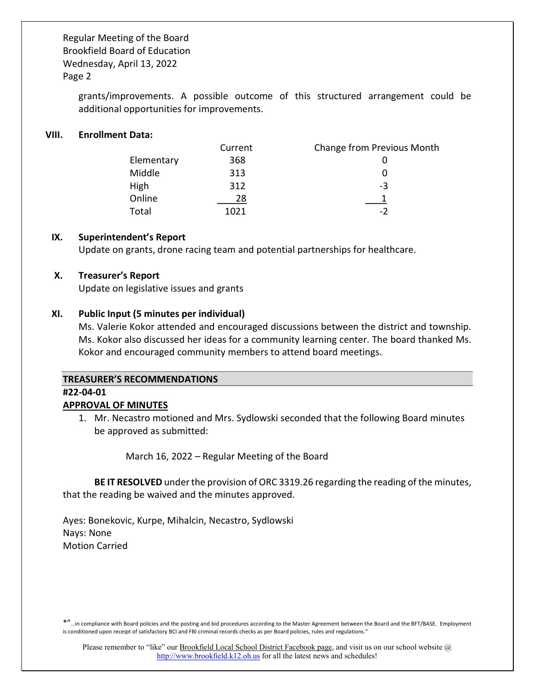> grants/improvements. A possible outcome of this structured arrangement could be additional opportunities for improvements.

# VIII. Enrollment Data:

|            | Current | Change from Previous Month |
|------------|---------|----------------------------|
| Elementary | 368     |                            |
| Middle     | 313     |                            |
| High       | 312     | -3                         |
| Online     | 28      |                            |
| Total      | 1021    | $-2$                       |

#### IX. Superintendent's Report

Update on grants, drone racing team and potential partnerships for healthcare.

# X. Treasurer's Report

Update on legislative issues and grants

# XI. Public Input (5 minutes per individual)

Ms. Valerie Kokor attended and encouraged discussions between the district and township. Ms. Kokor also discussed her ideas for a community learning center. The board thanked Ms. Kokor and encouraged community members to attend board meetings.

#### TREASURER'S RECOMMENDATIONS

#### #22-04-01

# APPROVAL OF MINUTES

1. Mr. Necastro motioned and Mrs. Sydlowski seconded that the following Board minutes be approved as submitted:

March 16, 2022 – Regular Meeting of the Board

BE IT RESOLVED under the provision of ORC 3319.26 regarding the reading of the minutes, that the reading be waived and the minutes approved.

Ayes: Bonekovic, Kurpe, Mihalcin, Necastro, Sydlowski Nays: None Motion Carried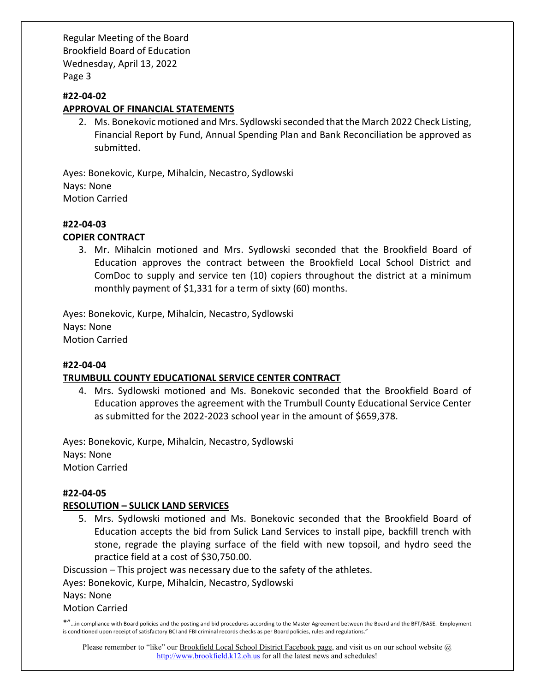# #22-04-02

# APPROVAL OF FINANCIAL STATEMENTS

2. Ms. Bonekovic motioned and Mrs. Sydlowski seconded that the March 2022 Check Listing, Financial Report by Fund, Annual Spending Plan and Bank Reconciliation be approved as submitted.

Ayes: Bonekovic, Kurpe, Mihalcin, Necastro, Sydlowski Nays: None Motion Carried

#### #22-04-03

# COPIER CONTRACT

3. Mr. Mihalcin motioned and Mrs. Sydlowski seconded that the Brookfield Board of Education approves the contract between the Brookfield Local School District and ComDoc to supply and service ten (10) copiers throughout the district at a minimum monthly payment of \$1,331 for a term of sixty (60) months.

Ayes: Bonekovic, Kurpe, Mihalcin, Necastro, Sydlowski Nays: None Motion Carried

#### #22-04-04

# TRUMBULL COUNTY EDUCATIONAL SERVICE CENTER CONTRACT

4. Mrs. Sydlowski motioned and Ms. Bonekovic seconded that the Brookfield Board of Education approves the agreement with the Trumbull County Educational Service Center as submitted for the 2022-2023 school year in the amount of \$659,378.

Ayes: Bonekovic, Kurpe, Mihalcin, Necastro, Sydlowski Nays: None Motion Carried

#### #22-04-05

#### RESOLUTION – SULICK LAND SERVICES

5. Mrs. Sydlowski motioned and Ms. Bonekovic seconded that the Brookfield Board of Education accepts the bid from Sulick Land Services to install pipe, backfill trench with stone, regrade the playing surface of the field with new topsoil, and hydro seed the practice field at a cost of \$30,750.00.

Discussion – This project was necessary due to the safety of the athletes.

Ayes: Bonekovic, Kurpe, Mihalcin, Necastro, Sydlowski

Nays: None

Motion Carried

\*"…in compliance with Board policies and the posting and bid procedures according to the Master Agreement between the Board and the BFT/BASE. Employment is conditioned upon receipt of satisfactory BCI and FBI criminal records checks as per Board policies, rules and regulations."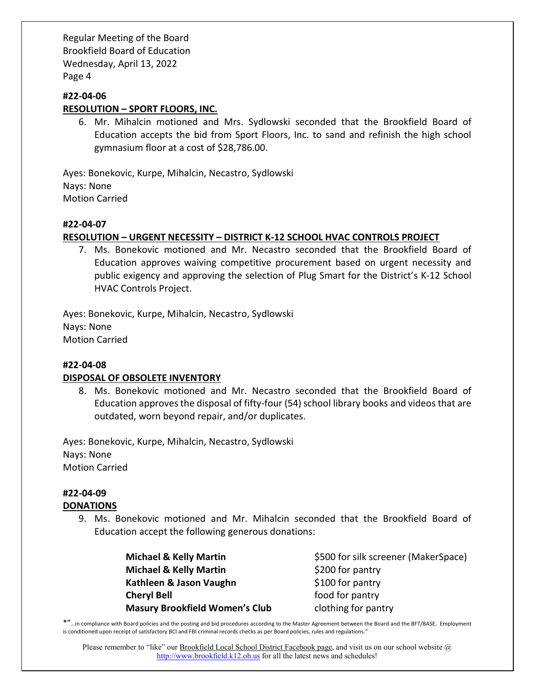# #22-04-06

# RESOLUTION – SPORT FLOORS, INC.

6. Mr. Mihalcin motioned and Mrs. Sydlowski seconded that the Brookfield Board of Education accepts the bid from Sport Floors, Inc. to sand and refinish the high school gymnasium floor at a cost of \$28,786.00.

Ayes: Bonekovic, Kurpe, Mihalcin, Necastro, Sydlowski Nays: None Motion Carried

# #22-04-07

# RESOLUTION – URGENT NECESSITY – DISTRICT K-12 SCHOOL HVAC CONTROLS PROJECT

7. Ms. Bonekovic motioned and Mr. Necastro seconded that the Brookfield Board of Education approves waiving competitive procurement based on urgent necessity and public exigency and approving the selection of Plug Smart for the District's K-12 School HVAC Controls Project.

Ayes: Bonekovic, Kurpe, Mihalcin, Necastro, Sydlowski Nays: None Motion Carried

#### #22-04-08

#### DISPOSAL OF OBSOLETE INVENTORY

8. Ms. Bonekovic motioned and Mr. Necastro seconded that the Brookfield Board of Education approves the disposal of fifty-four (54) school library books and videos that are outdated, worn beyond repair, and/or duplicates.

Ayes: Bonekovic, Kurpe, Mihalcin, Necastro, Sydlowski Nays: None Motion Carried

# #22-04-09

# **DONATIONS**

9. Ms. Bonekovic motioned and Mr. Mihalcin seconded that the Brookfield Board of Education accept the following generous donations:

> **Michael & Kelly Martin**  $\frac{1}{200}$  **for pantry** Kathleen  $\&$  Jason Vaughn  $$100$  for pantry **Cheryl Bell Example 20 Food for pantry** Masury Brookfield Women's Club clothing for pantry

Michael & Kelly Martin  $\frac{5500}{ }$  for silk screener (MakerSpace)

\*"…in compliance with Board policies and the posting and bid procedures according to the Master Agreement between the Board and the BFT/BASE. Employment is conditioned upon receipt of satisfactory BCI and FBI criminal records checks as per Board policies, rules and regulations."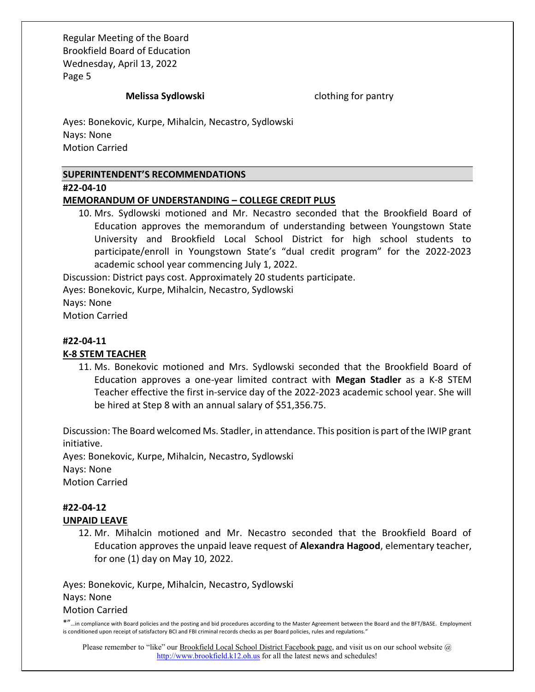Melissa Sydlowski clothing for pantry

Ayes: Bonekovic, Kurpe, Mihalcin, Necastro, Sydlowski Nays: None Motion Carried

# SUPERINTENDENT'S RECOMMENDATIONS

#### #22-04-10

#### MEMORANDUM OF UNDERSTANDING – COLLEGE CREDIT PLUS

10. Mrs. Sydlowski motioned and Mr. Necastro seconded that the Brookfield Board of Education approves the memorandum of understanding between Youngstown State University and Brookfield Local School District for high school students to participate/enroll in Youngstown State's "dual credit program" for the 2022-2023 academic school year commencing July 1, 2022.

Discussion: District pays cost. Approximately 20 students participate.

Ayes: Bonekovic, Kurpe, Mihalcin, Necastro, Sydlowski

Nays: None

Motion Carried

# #22-04-11

# K-8 STEM TEACHER

11. Ms. Bonekovic motioned and Mrs. Sydlowski seconded that the Brookfield Board of Education approves a one-year limited contract with Megan Stadler as a K-8 STEM Teacher effective the first in-service day of the 2022-2023 academic school year. She will be hired at Step 8 with an annual salary of \$51,356.75.

Discussion: The Board welcomed Ms. Stadler, in attendance. This position is part of the IWIP grant initiative.

Ayes: Bonekovic, Kurpe, Mihalcin, Necastro, Sydlowski Nays: None Motion Carried

#### #22-04-12 UNPAID LEAVE

12. Mr. Mihalcin motioned and Mr. Necastro seconded that the Brookfield Board of Education approves the unpaid leave request of Alexandra Hagood, elementary teacher, for one (1) day on May 10, 2022.

Ayes: Bonekovic, Kurpe, Mihalcin, Necastro, Sydlowski Nays: None Motion Carried

\*"…in compliance with Board policies and the posting and bid procedures according to the Master Agreement between the Board and the BFT/BASE. Employment is conditioned upon receipt of satisfactory BCI and FBI criminal records checks as per Board policies, rules and regulations."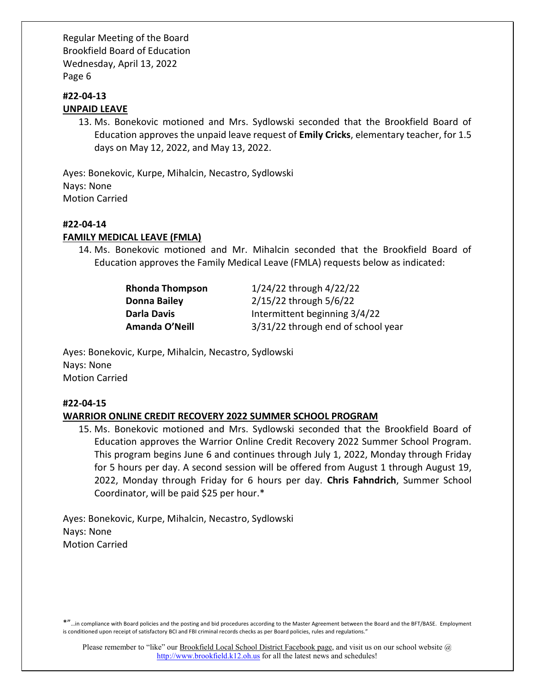# #22-04-13 UNPAID LEAVE

13. Ms. Bonekovic motioned and Mrs. Sydlowski seconded that the Brookfield Board of Education approves the unpaid leave request of **Emily Cricks**, elementary teacher, for 1.5 days on May 12, 2022, and May 13, 2022.

Ayes: Bonekovic, Kurpe, Mihalcin, Necastro, Sydlowski Nays: None Motion Carried

# #22-04-14

# FAMILY MEDICAL LEAVE (FMLA)

14. Ms. Bonekovic motioned and Mr. Mihalcin seconded that the Brookfield Board of Education approves the Family Medical Leave (FMLA) requests below as indicated:

> Rhonda Thompson 1/24/22 through 4/22/22 Donna Bailey 2/15/22 through 5/6/22 Darla Davis **Intermittent beginning 3/4/22** Amanda O'Neill 3/31/22 through end of school year

Ayes: Bonekovic, Kurpe, Mihalcin, Necastro, Sydlowski Nays: None Motion Carried

# #22-04-15

# WARRIOR ONLINE CREDIT RECOVERY 2022 SUMMER SCHOOL PROGRAM

15. Ms. Bonekovic motioned and Mrs. Sydlowski seconded that the Brookfield Board of Education approves the Warrior Online Credit Recovery 2022 Summer School Program. This program begins June 6 and continues through July 1, 2022, Monday through Friday for 5 hours per day. A second session will be offered from August 1 through August 19, 2022, Monday through Friday for 6 hours per day. Chris Fahndrich, Summer School Coordinator, will be paid \$25 per hour.\*

Ayes: Bonekovic, Kurpe, Mihalcin, Necastro, Sydlowski Nays: None Motion Carried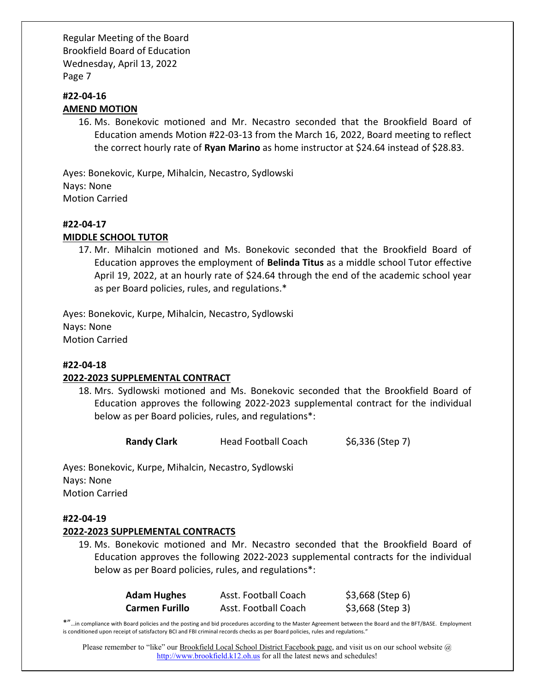# #22-04-16 AMEND MOTION

16. Ms. Bonekovic motioned and Mr. Necastro seconded that the Brookfield Board of Education amends Motion #22-03-13 from the March 16, 2022, Board meeting to reflect the correct hourly rate of Ryan Marino as home instructor at \$24.64 instead of \$28.83.

Ayes: Bonekovic, Kurpe, Mihalcin, Necastro, Sydlowski Nays: None Motion Carried

# #22-04-17

# MIDDLE SCHOOL TUTOR

17. Mr. Mihalcin motioned and Ms. Bonekovic seconded that the Brookfield Board of Education approves the employment of Belinda Titus as a middle school Tutor effective April 19, 2022, at an hourly rate of \$24.64 through the end of the academic school year as per Board policies, rules, and regulations.\*

Ayes: Bonekovic, Kurpe, Mihalcin, Necastro, Sydlowski Nays: None Motion Carried

#### #22-04-18

# 2022-2023 SUPPLEMENTAL CONTRACT

18. Mrs. Sydlowski motioned and Ms. Bonekovic seconded that the Brookfield Board of Education approves the following 2022-2023 supplemental contract for the individual below as per Board policies, rules, and regulations\*:

Randy Clark Head Football Coach \$6,336 (Step 7)

Ayes: Bonekovic, Kurpe, Mihalcin, Necastro, Sydlowski Nays: None Motion Carried

# #22-04-19

# 2022-2023 SUPPLEMENTAL CONTRACTS

19. Ms. Bonekovic motioned and Mr. Necastro seconded that the Brookfield Board of Education approves the following 2022-2023 supplemental contracts for the individual below as per Board policies, rules, and regulations\*:

| <b>Adam Hughes</b>    | Asst. Football Coach | $$3,668$ (Step 6) |
|-----------------------|----------------------|-------------------|
| <b>Carmen Furillo</b> | Asst. Football Coach | $$3,668$ (Step 3) |

\*"…in compliance with Board policies and the posting and bid procedures according to the Master Agreement between the Board and the BFT/BASE. Employment is conditioned upon receipt of satisfactory BCI and FBI criminal records checks as per Board policies, rules and regulations."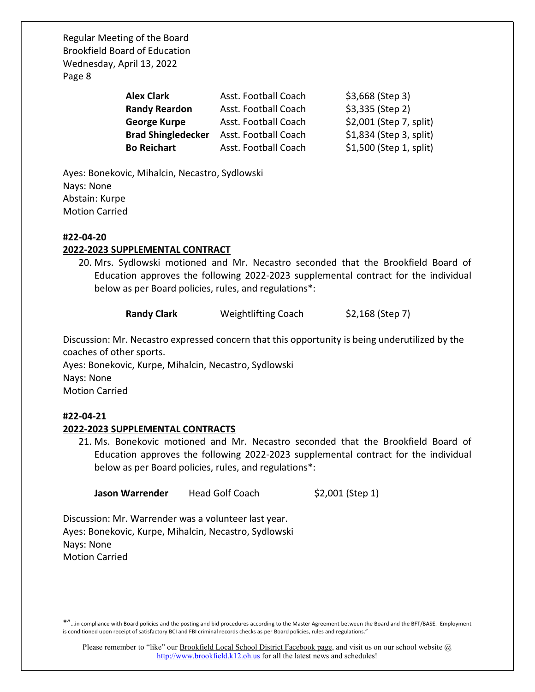| <b>Alex Clark</b>         | Asst. Football Coach | $$3,668$ (Step 3)       |
|---------------------------|----------------------|-------------------------|
| <b>Randy Reardon</b>      | Asst. Football Coach | \$3,335 (Step 2)        |
| <b>George Kurpe</b>       | Asst. Football Coach | \$2,001 (Step 7, split) |
| <b>Brad Shingledecker</b> | Asst. Football Coach | \$1,834 (Step 3, split) |
| <b>Bo Reichart</b>        | Asst. Football Coach | \$1,500 (Step 1, split) |

Ayes: Bonekovic, Mihalcin, Necastro, Sydlowski Nays: None Abstain: Kurpe Motion Carried

#### #22-04-20

# 2022-2023 SUPPLEMENTAL CONTRACT

20. Mrs. Sydlowski motioned and Mr. Necastro seconded that the Brookfield Board of Education approves the following 2022-2023 supplemental contract for the individual below as per Board policies, rules, and regulations\*:

Randy Clark Weightlifting Coach \$2,168 (Step 7)

Discussion: Mr. Necastro expressed concern that this opportunity is being underutilized by the coaches of other sports.

Ayes: Bonekovic, Kurpe, Mihalcin, Necastro, Sydlowski Nays: None Motion Carried

# #22-04-21

# 2022-2023 SUPPLEMENTAL CONTRACTS

21. Ms. Bonekovic motioned and Mr. Necastro seconded that the Brookfield Board of Education approves the following 2022-2023 supplemental contract for the individual below as per Board policies, rules, and regulations\*:

Jason Warrender Head Golf Coach \$2,001 (Step 1)

Discussion: Mr. Warrender was a volunteer last year. Ayes: Bonekovic, Kurpe, Mihalcin, Necastro, Sydlowski Nays: None Motion Carried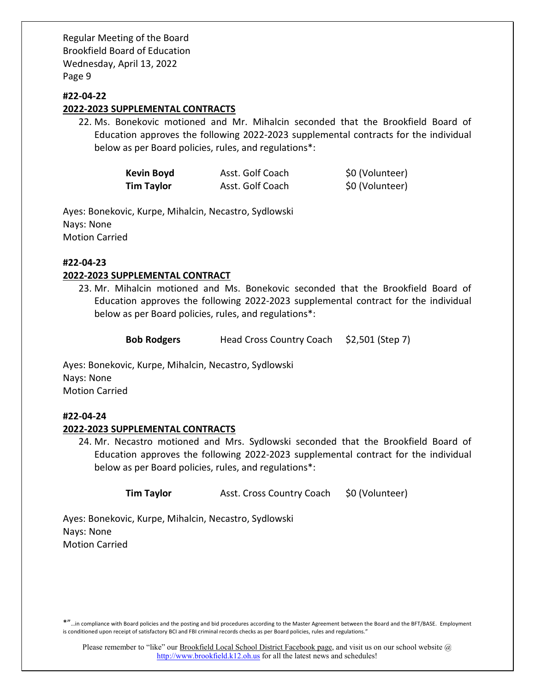# #22-04-22

# 2022-2023 SUPPLEMENTAL CONTRACTS

22. Ms. Bonekovic motioned and Mr. Mihalcin seconded that the Brookfield Board of Education approves the following 2022-2023 supplemental contracts for the individual below as per Board policies, rules, and regulations\*:

| <b>Kevin Boyd</b> | Asst. Golf Coach | \$0 (Volunteer) |
|-------------------|------------------|-----------------|
| <b>Tim Taylor</b> | Asst. Golf Coach | \$0 (Volunteer) |

Ayes: Bonekovic, Kurpe, Mihalcin, Necastro, Sydlowski Nays: None Motion Carried

#### #22-04-23

# 2022-2023 SUPPLEMENTAL CONTRACT

23. Mr. Mihalcin motioned and Ms. Bonekovic seconded that the Brookfield Board of Education approves the following 2022-2023 supplemental contract for the individual below as per Board policies, rules, and regulations\*:

Bob Rodgers Head Cross Country Coach \$2,501 (Step 7)

Ayes: Bonekovic, Kurpe, Mihalcin, Necastro, Sydlowski Nays: None Motion Carried

# #22-04-24

# 2022-2023 SUPPLEMENTAL CONTRACTS

24. Mr. Necastro motioned and Mrs. Sydlowski seconded that the Brookfield Board of Education approves the following 2022-2023 supplemental contract for the individual below as per Board policies, rules, and regulations\*:

**Tim Taylor** Asst. Cross Country Coach \$0 (Volunteer)

Ayes: Bonekovic, Kurpe, Mihalcin, Necastro, Sydlowski Nays: None Motion Carried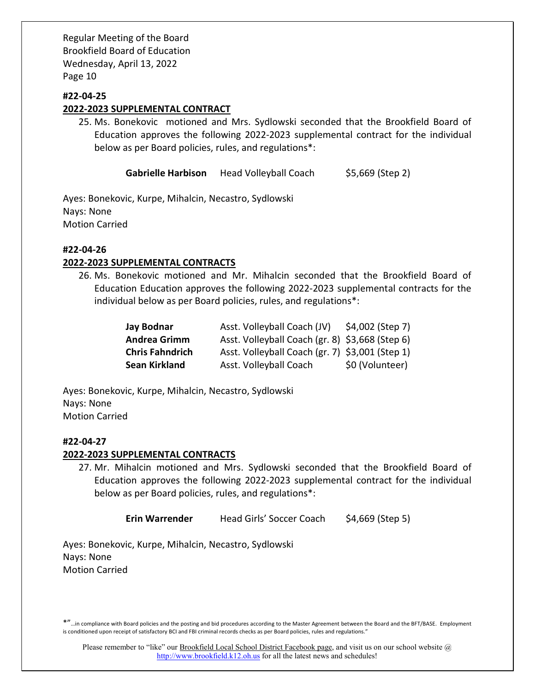#### #22-04-25

#### 2022-2023 SUPPLEMENTAL CONTRACT

25. Ms. Bonekovic motioned and Mrs. Sydlowski seconded that the Brookfield Board of Education approves the following 2022-2023 supplemental contract for the individual below as per Board policies, rules, and regulations\*:

Gabrielle Harbison Head Volleyball Coach \$5,669 (Step 2)

Ayes: Bonekovic, Kurpe, Mihalcin, Necastro, Sydlowski Nays: None Motion Carried

# #22-04-26

#### 2022-2023 SUPPLEMENTAL CONTRACTS

26. Ms. Bonekovic motioned and Mr. Mihalcin seconded that the Brookfield Board of Education Education approves the following 2022-2023 supplemental contracts for the individual below as per Board policies, rules, and regulations\*:

| <b>Jay Bodnar</b>      | Asst. Volleyball Coach (JV)                     | \$4,002 (Step 7) |
|------------------------|-------------------------------------------------|------------------|
| <b>Andrea Grimm</b>    | Asst. Volleyball Coach (gr. 8) \$3,668 (Step 6) |                  |
| <b>Chris Fahndrich</b> | Asst. Volleyball Coach (gr. 7) \$3,001 (Step 1) |                  |
| <b>Sean Kirkland</b>   | Asst. Volleyball Coach                          | \$0 (Volunteer)  |

Ayes: Bonekovic, Kurpe, Mihalcin, Necastro, Sydlowski Nays: None Motion Carried

# #22-04-27

#### 2022-2023 SUPPLEMENTAL CONTRACTS

27. Mr. Mihalcin motioned and Mrs. Sydlowski seconded that the Brookfield Board of Education approves the following 2022-2023 supplemental contract for the individual below as per Board policies, rules, and regulations\*:

Erin Warrender Head Girls' Soccer Coach \$4,669 (Step 5)

Ayes: Bonekovic, Kurpe, Mihalcin, Necastro, Sydlowski Nays: None Motion Carried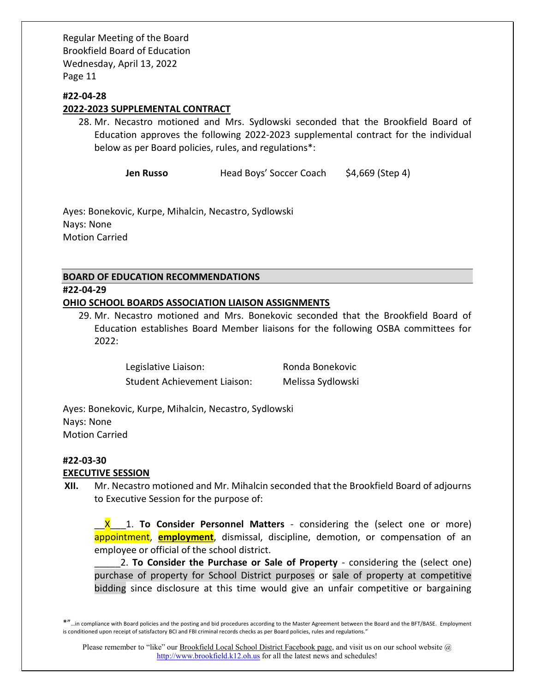### #22-04-28

#### 2022-2023 SUPPLEMENTAL CONTRACT

28. Mr. Necastro motioned and Mrs. Sydlowski seconded that the Brookfield Board of Education approves the following 2022-2023 supplemental contract for the individual below as per Board policies, rules, and regulations\*:

Jen Russo Head Boys' Soccer Coach \$4,669 (Step 4)

Ayes: Bonekovic, Kurpe, Mihalcin, Necastro, Sydlowski Nays: None Motion Carried

# BOARD OF EDUCATION RECOMMENDATIONS #22-04-29 OHIO SCHOOL BOARDS ASSOCIATION LIAISON ASSIGNMENTS

29. Mr. Necastro motioned and Mrs. Bonekovic seconded that the Brookfield Board of Education establishes Board Member liaisons for the following OSBA committees for 2022:

> Legislative Liaison: Ronda Bonekovic Student Achievement Liaison: Melissa Sydlowski

Ayes: Bonekovic, Kurpe, Mihalcin, Necastro, Sydlowski Nays: None Motion Carried

# #22-03-30

# EXECUTIVE SESSION

XII. Mr. Necastro motioned and Mr. Mihalcin seconded that the Brookfield Board of adjourns to Executive Session for the purpose of:

X 1. To Consider Personnel Matters - considering the (select one or more) appointment, **employment**, dismissal, discipline, demotion, or compensation of an employee or official of the school district.

2. To Consider the Purchase or Sale of Property - considering the (select one) purchase of property for School District purposes or sale of property at competitive bidding since disclosure at this time would give an unfair competitive or bargaining

<sup>\*&</sup>quot;…in compliance with Board policies and the posting and bid procedures according to the Master Agreement between the Board and the BFT/BASE. Employment is conditioned upon receipt of satisfactory BCI and FBI criminal records checks as per Board policies, rules and regulations."